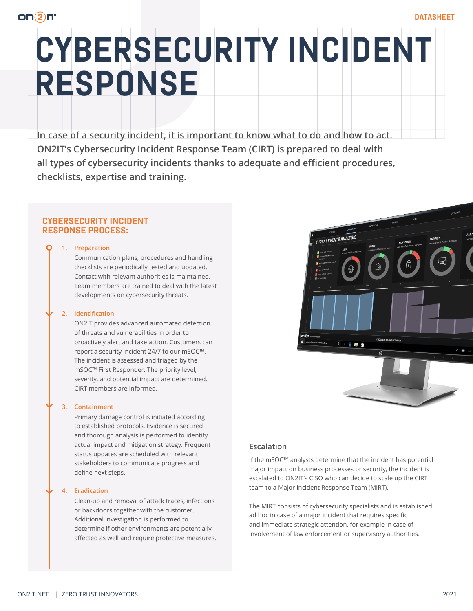# **CYBERSECURITY INCIDENT RESPONSE**

**In case of a security incident, it is important to know what to do and how to act. ON2IT's Cybersecurity Incident Response Team (CIRT) is prepared to deal with all types of cybersecurity incidents thanks to adequate and efficient procedures, checklists, expertise and training.**

# **CYBERSECURITY INCIDENT RESPONSE PROCESS:**

#### **1. Preparation**

Communication plans, procedures and handling checklists are periodically tested and updated. Contact with relevant authorities is maintained. Team members are trained to deal with the latest developments on cybersecurity threats.

#### **2. Identification**

ON2IT provides advanced automated detection of threats and vulnerabilities in order to proactively alert and take action. Customers can report a security incident 24/7 to our mSOC™. The incident is assessed and triaged by the mSOC™ First Responder. The priority level, severity, and potential impact are determined. CIRT members are informed.

#### **3. Containment**

Primary damage control is initiated according to established protocols. Evidence is secured and thorough analysis is performed to identify actual impact and mitigation strategy. Frequent status updates are scheduled with relevant stakeholders to communicate progress and define next steps.

#### **4. Eradication**

Clean-up and removal of attack traces, infections or backdoors together with the customer. Additional investigation is performed to determine if other environments are potentially affected as well and require protective measures.



# **Escalation**

If the mSOC™ analysts determine that the incident has potential major impact on business processes or security, the incident is escalated to ON2IT's CISO who can decide to scale up the CIRT team to a Major Incident Response Team (MIRT).

The MIRT consists of cybersecurity specialists and is established ad hoc in case of a major incident that requires specific and immediate strategic attention, for example in case of involvement of law enforcement or supervisory authorities.